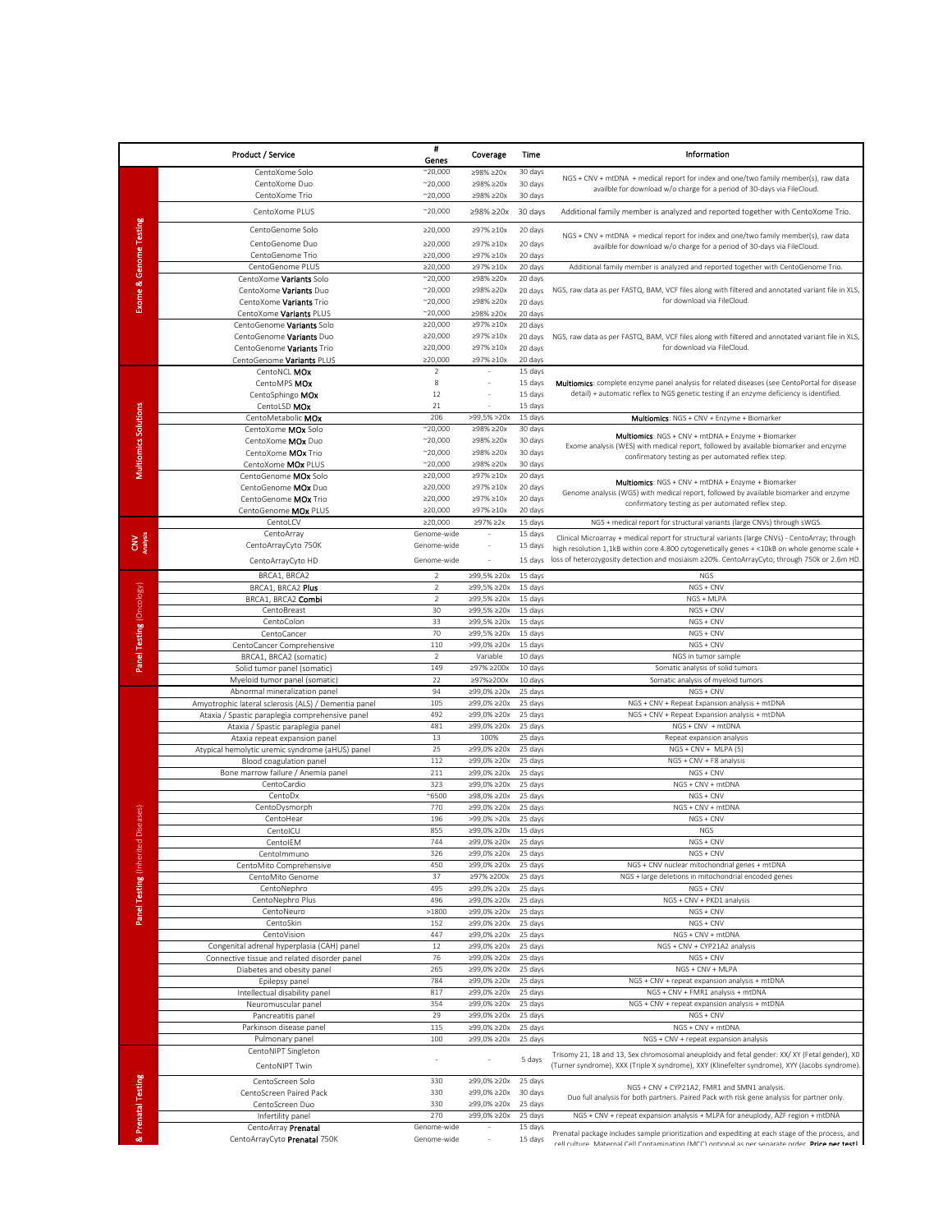|                                               | <b>Product / Service</b>                                                         | #<br>Genes                         | Coverage                   | Time               | Information                                                                                                                                                                                      |
|-----------------------------------------------|----------------------------------------------------------------------------------|------------------------------------|----------------------------|--------------------|--------------------------------------------------------------------------------------------------------------------------------------------------------------------------------------------------|
|                                               | CentoXome Solo                                                                   | $^{\sim}20,000$                    | ≥98% ≥20x                  | 30 days            |                                                                                                                                                                                                  |
|                                               | CentoXome Duo                                                                    | $^{\sim}20,000$                    | ≥98% ≥20x                  | 30 days            | NGS + CNV + mtDNA + medical report for index and one/two family member(s), raw data<br>availble for download w/o charge for a period of 30-days via FileCloud.                                   |
|                                               | CentoXome Trio                                                                   | $^{\sim}20,000$                    | ≥98% ≥20x                  | 30 days            |                                                                                                                                                                                                  |
|                                               | CentoXome PLUS                                                                   | $^{\sim}20,000$                    | ≥98% ≥20x                  | 30 days            | Additional family member is analyzed and reported together with CentoXome Trio.                                                                                                                  |
|                                               | CentoGenome Solo                                                                 | ≥20,000                            | ≥97% ≥10x                  | 20 days            |                                                                                                                                                                                                  |
| <b>Exome &amp; Genome Testing</b>             | CentoGenome Duo                                                                  | ≥20,000                            | ≥97% ≥10x                  | 20 days            | NGS + CNV + mtDNA + medical report for index and one/two family member(s), raw data<br>availble for download w/o charge for a period of 30-days via FileCloud.                                   |
|                                               | CentoGenome Trio                                                                 | ≥20,000                            | ≥97% ≥10x                  | 20 days            |                                                                                                                                                                                                  |
|                                               | CentoGenome PLUS                                                                 | ≥20,000                            | ≥97% ≥10x                  | 20 days            | Additional family member is analyzed and reported together with CentoGenome Trio.                                                                                                                |
|                                               | CentoXome Variants Solo<br>CentoXome Variants Duo                                | $^{\sim}20,000$<br>$^{\sim}20,000$ | ≥98% ≥20x<br>≥98% ≥20x     | 20 days            | NGS, raw data as per FASTQ, BAM, VCF files along with filtered and annotated variant file in XLS,                                                                                                |
|                                               | CentoXome Variants Trio                                                          | $^{\sim}20,000$                    | ≥98% ≥20x                  | 20 days<br>20 days | for download via FileCloud.                                                                                                                                                                      |
|                                               | CentoXome Variants PLUS                                                          | $^{\sim}20,000$                    | ≥98% ≥20x                  | 20 days            |                                                                                                                                                                                                  |
|                                               | CentoGenome Variants Solo                                                        | ≥20,000                            | ≥97% ≥10x                  | 20 days            |                                                                                                                                                                                                  |
|                                               | CentoGenome Variants Duo                                                         | ≥20,000<br>≥20,000                 | ≥97% ≥10x<br>≥97% ≥10x     | 20 days            | NGS, raw data as per FASTQ, BAM, VCF files along with filtered and annotated variant file in XLS,<br>for download via FileCloud.                                                                 |
|                                               | CentoGenome Variants Trio<br>CentoGenome Variants PLUS                           | ≥20,000                            | ≥97% ≥10x                  | 20 days<br>20 days |                                                                                                                                                                                                  |
|                                               | CentoNCL MOx                                                                     | $\overline{2}$                     |                            | 15 days            |                                                                                                                                                                                                  |
|                                               | CentoMPS MOx                                                                     | 8                                  |                            | 15 days            | Multiomics: complete enzyme panel analysis for related diseases (see CentoPortal for disease                                                                                                     |
|                                               | CentoSphingo MOx                                                                 | 12                                 |                            | 15 days            | detail) + automatic reflex to NGS genetic testing if an enzyme deficiency is identified.                                                                                                         |
| <b>Multiomics Solutions</b>                   | CentoLSD MOx<br>CentoMetabolic MOx                                               | 21<br>206                          | $>99,5\% > 20x$            | 15 days<br>15 days | Multiomics: NGS + CNV + Enzyme + Biomarker                                                                                                                                                       |
|                                               | CentoXome MOx Solo                                                               | $^{\sim}20,000$                    | ≥98% ≥20x                  | 30 days            |                                                                                                                                                                                                  |
|                                               | CentoXome MOx Duo                                                                | $^{\sim}20,000$                    | ≥98% ≥20x                  | 30 days            | Multiomics: NGS + CNV + mtDNA + Enzyme + Biomarker<br>Exome analysis (WES) with medical report, followed by available biomarker and enzyme                                                       |
|                                               | CentoXome MOx Trio                                                               | $^{\sim}20,000$                    | ≥98% ≥20x                  | 30 days            | confirmatory testing as per automated reflex step.                                                                                                                                               |
|                                               | CentoXome MOx PLUS<br>CentoGenome MOx Solo                                       | $^{\sim}20,000$<br>≥20,000         | ≥98% ≥20x<br>≥97% ≥10x     | 30 days<br>20 days |                                                                                                                                                                                                  |
|                                               | CentoGenome MOx Duo                                                              | ≥20,000                            | ≥97% ≥10x                  | 20 days            | Multiomics: NGS + CNV + mtDNA + Enzyme + Biomarker                                                                                                                                               |
|                                               | CentoGenome MOx Trio                                                             | ≥20,000                            | ≥97% ≥10x                  | 20 days            | Genome analysis (WGS) with medical report, followed by available biomarker and enzyme<br>confirmatory testing as per automated reflex step.                                                      |
|                                               | CentoGenome MOx PLUS                                                             | ≥20,000                            | ≥97% ≥10x                  | 20 days            |                                                                                                                                                                                                  |
|                                               | CentoLCV<br>CentoArray                                                           | ≥20,000<br>Genome-wide             | ≥97% ≥2x                   | 15 days<br>15 days | NGS + medical report for structural variants (large CNVs) through sWGS.                                                                                                                          |
|                                               | CentoArrayCyto 750K                                                              | Genome-wide                        |                            | 15 days            | Clinical Microarray + medical report for structural variants (large CNVs) - CentoArray; through<br>high resolution 1,1kB within core 4.800 cytogenetically genes + <10kB on whole genome scale + |
|                                               | CentoArrayCyto HD                                                                | Genome-wide                        |                            | 15 days            | loss of heterozygosity detection and mosiaism ≥20%. CentoArrayCyto; through 750k or 2.6m HD                                                                                                      |
|                                               | BRCA1, BRCA2                                                                     | $\overline{2}$                     | ≥99.5% ≥ 20x               | 15 days            | <b>NGS</b>                                                                                                                                                                                       |
|                                               | BRCA1, BRCA2 Plus                                                                | $\sqrt{2}$                         | ≥99,5% ≥20x                | 15 days            | NGS + CNV                                                                                                                                                                                        |
|                                               | BRCA1, BRCA2 Combi                                                               | $\overline{2}$                     | ≥99,5% ≥20x                | 15 days            | NGS + MLPA                                                                                                                                                                                       |
|                                               | CentoBreast                                                                      | 30                                 | ≥99,5% ≥20x                | 15 days            | NGS + CNV                                                                                                                                                                                        |
|                                               | CentoColon<br>CentoCancer                                                        | 33<br>70                           | ≥99,5%≥20x<br>≥99,5% ≥20x  | 15 days<br>15 days | NGS + CNV<br>NGS + CNV                                                                                                                                                                           |
| Panel Testing (Oncology)                      | CentoCancer Comprehensive                                                        | 110                                | >99,0% ≥20x                | 15 days            | NGS + CNV                                                                                                                                                                                        |
|                                               | BRCA1, BRCA2 (somatic)                                                           | $\overline{2}$                     | Variable                   | 10 days            | NGS in tumor sample                                                                                                                                                                              |
|                                               | Solid tumor panel (somatic)                                                      | 149<br>22                          | ≥97% ≥200x<br>≥97%≥200x    | 10 days            | Somatic analysis of solid tumors                                                                                                                                                                 |
|                                               | Myeloid tumor panel (somatic)<br>Abnormal mineralization panel                   | 94                                 | ≥99,0% ≥20x                | 10 days<br>25 days | Somatic analysis of myeloid tumors<br>NGS + CNV                                                                                                                                                  |
|                                               | Amyotrophic lateral sclerosis (ALS) / Dementia panel                             | 105                                | ≥99,0% ≥20x                | 25 days            | NGS + CNV + Repeat Expansion analysis + mtDNA                                                                                                                                                    |
|                                               | Ataxia / Spastic paraplegia comprehensive panel                                  | 492                                | ≥99,0% ≥20x                | 25 days            | NGS + CNV + Repeat Expansion analysis + mtDNA                                                                                                                                                    |
|                                               | Ataxia / Spastic paraplegia panel                                                | 481<br>13                          | ≥99,0% ≥20x<br>100%        | 25 days<br>25 days | NGS + CNV + mtDNA                                                                                                                                                                                |
|                                               | Ataxia repeat expansion panel<br>Atypical hemolytic uremic syndrome (aHUS) panel | 25                                 | ≥99,0% ≥20x                | 25 days            | Repeat expansion analysis<br>NGS + CNV + MLPA (5)                                                                                                                                                |
|                                               | Blood coagulation panel                                                          | 112                                | ≥99,0% ≥20x                | 25 days            | NGS + CNV + F8 analysis                                                                                                                                                                          |
|                                               | Bone marrow failure / Anemia panel                                               | 211                                | ≥99,0% ≥20x                | 25 days            | NGS + CNV                                                                                                                                                                                        |
| Diseases)                                     | CentoCardio<br>CentoDx                                                           | 323<br>$^{\sim}6500$               | ≥99,0% ≥20x<br>≥98,0%≥20x  | 25 days<br>25 days | NGS + CNV + mtDNA<br>NGS + CNV                                                                                                                                                                   |
|                                               | CentoDysmorph                                                                    | 770                                | ≥99,0% ≥20x                | 25 days            | NGS + CNV + mtDNA                                                                                                                                                                                |
|                                               | CentoHear                                                                        | 196                                | >99,0% >20x                | 25 days            | NGS + CNV                                                                                                                                                                                        |
|                                               | CentoICU                                                                         | 855                                | ≥99,0% ≥20x                | 15 days            | <b>NGS</b>                                                                                                                                                                                       |
|                                               | CentolEM                                                                         | 744<br>326                         | ≥99,0% ≥20x<br>≥99,0% ≥20x | 25 days            | NGS + CNV<br>NGS + CNV                                                                                                                                                                           |
|                                               | Centolmmuno<br>CentoMito Comprehensive                                           | 450                                | ≥99,0%≥20x                 | 25 days<br>25 days | NGS + CNV nuclear mitochondrial genes + mtDNA                                                                                                                                                    |
|                                               | CentoMito Genome                                                                 | 37                                 | ≥97% ≥200x                 | 25 days            | NGS + large deletions in mitochondrial encoded genes                                                                                                                                             |
| Panel Testing (Inherite<br>& Prenatal Testing | CentoNephro                                                                      | 495                                | ≥99,0% ≥20x                | 25 days            | NGS + CNV                                                                                                                                                                                        |
|                                               | CentoNephro Plus<br>CentoNeuro                                                   | 496<br>>1800                       | ≥99,0% ≥20x<br>≥99,0% ≥20x | 25 days<br>25 days | NGS + CNV + PKD1 analysis<br>NGS + CNV                                                                                                                                                           |
|                                               | CentoSkin                                                                        | 152                                | ≥99,0% ≥20x                | 25 days            | NGS + CNV                                                                                                                                                                                        |
|                                               | CentoVision                                                                      | 447                                | ≥99,0% ≥20x                | 25 days            | NGS + CNV + mtDNA                                                                                                                                                                                |
|                                               | Congenital adrenal hyperplasia (CAH) panel                                       | 12                                 | ≥99,0% ≥20x                | 25 days            | NGS + CNV + CYP21A2 analysis                                                                                                                                                                     |
|                                               | Connective tissue and related disorder panel<br>Diabetes and obesity panel       | 76<br>265                          | ≥99,0%≥20x<br>≥99,0% ≥20x  | 25 days<br>25 days | NGS + CNV<br>NGS + CNV + MLPA                                                                                                                                                                    |
|                                               | Epilepsy panel                                                                   | 784                                | ≥99,0% ≥20x                | 25 days            | NGS + CNV + repeat expansion analysis + mtDNA                                                                                                                                                    |
|                                               | Intellectual disability panel                                                    | 817                                | ≥99,0% ≥20x                | 25 days            | NGS + CNV + FMR1 analysis + mtDNA                                                                                                                                                                |
|                                               | Neuromuscular panel                                                              | 354                                | ≥99,0% ≥20x                | 25 days            | NGS + CNV + repeat expansion analysis + mtDNA                                                                                                                                                    |
|                                               | Pancreatitis panel<br>Parkinson disease panel                                    | 29<br>115                          | ≥99,0% ≥20x<br>≥99,0% ≥20x | 25 days            | NGS + CNV<br>NGS + CNV + mtDNA                                                                                                                                                                   |
|                                               | Pulmonary panel                                                                  | 100                                | ≥99,0% ≥20x                | 25 days<br>25 days | NGS + CNV + repeat expansion analysis                                                                                                                                                            |
|                                               | CentoNIPT Singleton                                                              |                                    |                            |                    | Trisomy 21, 18 and 13, Sex chromosomal aneuploidy and fetal gender: XX/ XY (Fetal gender), XO                                                                                                    |
|                                               | CentoNIPT Twin                                                                   | $\overline{\phantom{a}}$           |                            | 5 days             | (Turner syndrome), XXX (Triple X syndrome), XXY (Klinefelter syndrome), XYY (Jacobs syndrome)                                                                                                    |
|                                               | CentoScreen Solo                                                                 | 330                                | ≥99,0% ≥20x                | 25 days            |                                                                                                                                                                                                  |
|                                               | CentoScreen Paired Pack                                                          | 330                                | ≥99,0% ≥20x                | 30 days            | NGS + CNV + CYP21A2, FMR1 and SMN1 analysis.<br>Duo full analysis for both partners. Paired Pack with risk gene analysis for partner only.                                                       |
|                                               | CentoScreen Duo                                                                  | 330                                | ≥99,0% ≥20x                | 25 days            |                                                                                                                                                                                                  |
|                                               | Infertility panel                                                                | 270                                | ≥99,0% ≥20x                | 25 days            | NGS + CNV + repeat expansion analysis + MLPA for aneuplody, AZF region + mtDNA                                                                                                                   |
|                                               | CentoArray Prenatal<br>CentoArrayCyto Prenatal 750K                              | Genome-wide<br>Genome-wide         |                            | 15 days<br>15 days | Prenatal package includes sample prioritization and expediting at each stage of the process, and                                                                                                 |
|                                               |                                                                                  |                                    |                            |                    | cell culture. Maternal Cell Contamination (MCC) ontional as ner senarate order. Price ner test l                                                                                                 |
|                                               |                                                                                  |                                    |                            |                    |                                                                                                                                                                                                  |